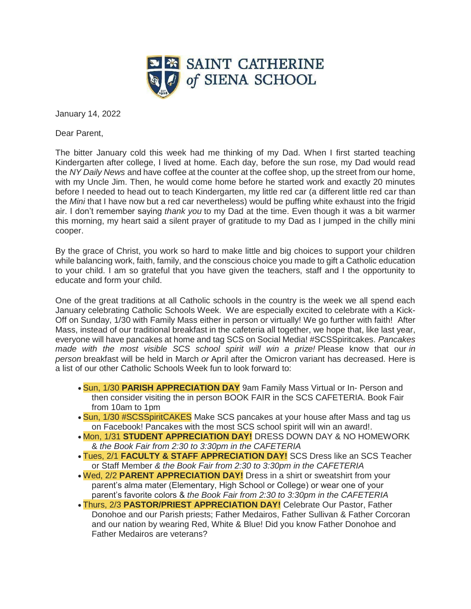

January 14, 2022

Dear Parent,

The bitter January cold this week had me thinking of my Dad. When I first started teaching Kindergarten after college, I lived at home. Each day, before the sun rose, my Dad would read the *NY Daily News* and have coffee at the counter at the coffee shop, up the street from our home, with my Uncle Jim. Then, he would come home before he started work and exactly 20 minutes before I needed to head out to teach Kindergarten, my little red car (a different little red car than the *Mini* that I have now but a red car nevertheless) would be puffing white exhaust into the frigid air. I don't remember saying *thank you* to my Dad at the time. Even though it was a bit warmer this morning, my heart said a silent prayer of gratitude to my Dad as I jumped in the chilly mini cooper.

By the grace of Christ, you work so hard to make little and big choices to support your children while balancing work, faith, family, and the conscious choice you made to gift a Catholic education to your child. I am so grateful that you have given the teachers, staff and I the opportunity to educate and form your child.

One of the great traditions at all Catholic schools in the country is the week we all spend each January celebrating Catholic Schools Week. We are especially excited to celebrate with a Kick-Off on Sunday, 1/30 with Family Mass either in person or virtually! We go further with faith! After Mass, instead of our traditional breakfast in the cafeteria all together, we hope that, like last year, everyone will have pancakes at home and tag SCS on Social Media! #SCSSpiritcakes. *Pancakes made with the most visible SCS school spirit will win a prize!* Please know that our *in person* breakfast will be held in March *or* April after the Omicron variant has decreased. Here is a list of our other Catholic Schools Week fun to look forward to:

- Sun, 1/30 **PARISH APPRECIATION DAY** 9am Family Mass Virtual or In- Person and then consider visiting the in person BOOK FAIR in the SCS CAFETERIA. Book Fair from 10am to 1pm
- Sun, 1/30 #SCSSpiritCAKES Make SCS pancakes at your house after Mass and tag us on Facebook! Pancakes with the most SCS school spirit will win an award!.
- Mon, 1/31 **STUDENT APPRECIATION DAY!** DRESS DOWN DAY & NO HOMEWORK & *the Book Fair from 2:30 to 3:30pm in the CAFETERIA*
- Tues, 2/1 **FACULTY & STAFF APPRECIATION DAY!** SCS Dress like an SCS Teacher or Staff Member *& the Book Fair from 2:30 to 3:30pm in the CAFETERIA*
- Wed, 2/2 **PARENT APPRECIATION DAY!** Dress in a shirt or sweatshirt from your parent's alma mater (Elementary, High School or College) or wear one of your parent's favorite colors & *the Book Fair from 2:30 to 3:30pm in the CAFETERIA*
- Thurs, 2/3 **PASTOR/PRIEST APPRECIATION DAY!** Celebrate Our Pastor, Father Donohoe and our Parish priests; Father Medairos, Father Sullivan & Father Corcoran and our nation by wearing Red, White & Blue! Did you know Father Donohoe and Father Medairos are veterans?